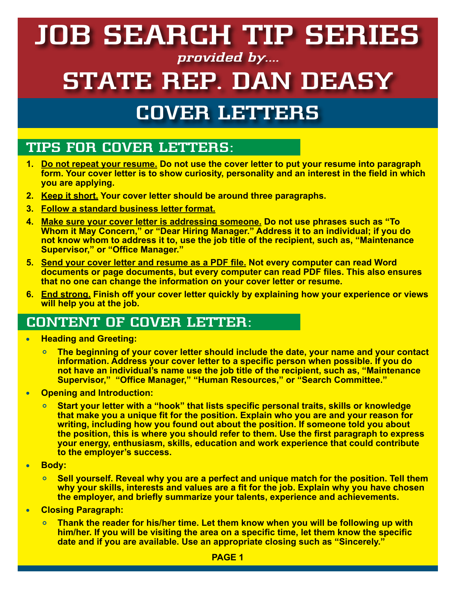# **JOB SEARCH TIP SERIES**

#### **provided by....**

## **STATE REP. DAN DEASY**

### **COVER LETTERS**

#### **TIPS FOR COVER LETTERS:**

- **1. Do not repeat your resume. Do not use the cover letter to put your resume into paragraph form. Your cover letter is to show curiosity, personality and an interest in the field in which you are applying.**
- **2. Keep it short. Your cover letter should be around three paragraphs.**
- **3. Follow a standard business letter format.**
- **4. Make sure your cover letter is addressing someone. Do not use phrases such as "To Whom it May Concern," or "Dear Hiring Manager." Address it to an individual; if you do not know whom to address it to, use the job title of the recipient, such as, "Maintenance Supervisor," or "Office Manager."**
- **5. Send your cover letter and resume as a PDF file. Not every computer can read Word documents or page documents, but every computer can read PDF files. This also ensures that no one can change the information on your cover letter or resume.**
- **6. End strong. Finish off your cover letter quickly by explaining how your experience or views will help you at the job.**

#### **CONTENT OF COVER LETTER:**

- **Heading and Greeting:**
	- **The beginning of your cover letter should include the date, your name and your contact information. Address your cover letter to a specific person when possible. If you do not have an individual's name use the job title of the recipient, such as, "Maintenance Supervisor," "Office Manager," "Human Resources," or "Search Committee."**
- **Opening and Introduction:**   $\bullet$ 
	- **Start your letter with a "hook" that lists specific personal traits, skills or knowledge that make you a unique fit for the position. Explain who you are and your reason for writing, including how you found out about the position. If someone told you about the position, this is where you should refer to them. Use the first paragraph to express your energy, enthusiasm, skills, education and work experience that could contribute to the employer's success.**
- **Body:**  $\bullet$ 
	- **Sell yourself. Reveal why you are a perfect and unique match for the position. Tell them**   $\overline{O}$ **why your skills, interests and values are a fit for the job. Explain why you have chosen the employer, and briefly summarize your talents, experience and achievements.**
- **Closing Paragraph:**  $\bullet$ 
	- **Thank the reader for his/her time. Let them know when you will be following up with him/her. If you will be visiting the area on a specific time, let them know the specific date and if you are available. Use an appropriate closing such as "Sincerely."**